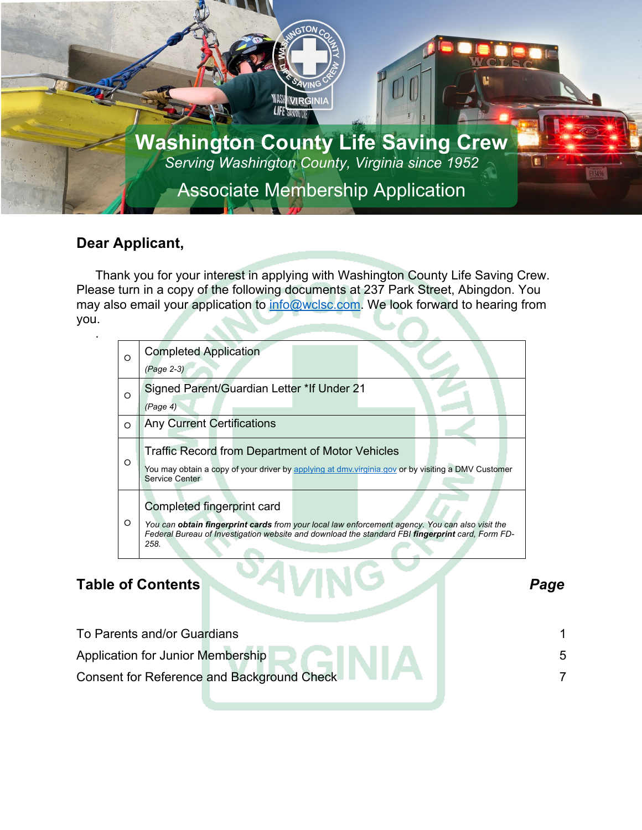

### **Dear Applicant,**

Thank you for your interest in applying with Washington County Life Saving Crew. Please turn in a copy of the following documents at 237 Park Street, Abingdon. You may also email your application to info@wclsc.com. We look forward to hearing from you.

| $\circ$ | <b>Completed Application</b>                                                                                         |      |
|---------|----------------------------------------------------------------------------------------------------------------------|------|
|         | (Page 2-3)                                                                                                           |      |
| $\circ$ | Signed Parent/Guardian Letter *If Under 21                                                                           |      |
|         | (Page 4)                                                                                                             |      |
| $\circ$ | <b>Any Current Certifications</b>                                                                                    |      |
|         | <b>Traffic Record from Department of Motor Vehicles</b>                                                              |      |
| O       | You may obtain a copy of your driver by applying at dmv.virginia.gov or by visiting a DMV Customer<br>Service Center |      |
|         | Completed fingerprint card                                                                                           |      |
| $\circ$ | Visit Virginia Department of Health > Emergency Medical Services > Regulation &<br>Compliance > Fingerprinting       |      |
|         |                                                                                                                      |      |
|         | <b>Table of Contents</b>                                                                                             | Page |
|         | To Parents and/or Guardians                                                                                          |      |
|         | Application for Junior Membership                                                                                    | 5    |
|         | <b>Consent for Reference and Background Check</b>                                                                    | 7    |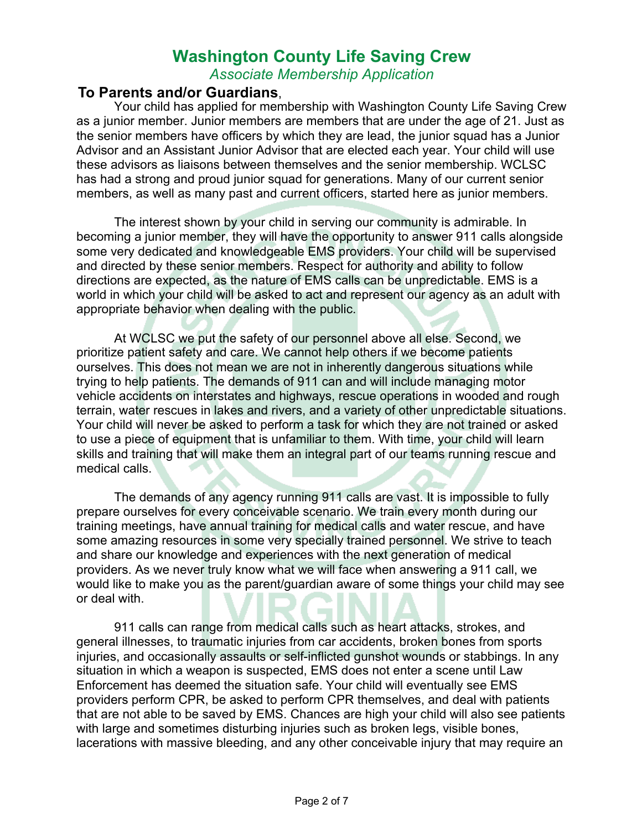*Associate Membership Application*

#### **To Parents and/or Guardians**,

Your child has applied for membership with Washington County Life Saving Crew as a junior member. Junior members are members that are under the age of 21. Just as the senior members have officers by which they are lead, the junior squad has a Junior Advisor and an Assistant Junior Advisor that are elected each year. Your child will use these advisors as liaisons between themselves and the senior membership. WCLSC has had a strong and proud junior squad for generations. Many of our current senior members, as well as many past and current officers, started here as junior members.

The interest shown by your child in serving our community is admirable. In becoming a junior member, they will have the opportunity to answer 911 calls alongside some very dedicated and knowledgeable EMS providers. Your child will be supervised and directed by these senior members. Respect for authority and ability to follow directions are expected, as the nature of EMS calls can be unpredictable. EMS is a world in which your child will be asked to act and represent our agency as an adult with appropriate behavior when dealing with the public.

At WCLSC we put the safety of our personnel above all else. Second, we prioritize patient safety and care. We cannot help others if we become patients ourselves. This does not mean we are not in inherently dangerous situations while trying to help patients. The demands of 911 can and will include managing motor vehicle accidents on interstates and highways, rescue operations in wooded and rough terrain, water rescues in lakes and rivers, and a variety of other unpredictable situations. Your child will never be asked to perform a task for which they are not trained or asked to use a piece of equipment that is unfamiliar to them. With time, your child will learn skills and training that will make them an integral part of our teams running rescue and medical calls.

The demands of any agency running 911 calls are vast. It is impossible to fully prepare ourselves for every conceivable scenario. We train every month during our training meetings, have annual training for medical calls and water rescue, and have some amazing resources in some very specially trained personnel. We strive to teach and share our knowledge and experiences with the next generation of medical providers. As we never truly know what we will face when answering a 911 call, we would like to make you as the parent/guardian aware of some things your child may see or deal with.

911 calls can range from medical calls such as heart attacks, strokes, and general illnesses, to traumatic injuries from car accidents, broken bones from sports injuries, and occasionally assaults or self-inflicted gunshot wounds or stabbings. In any situation in which a weapon is suspected, EMS does not enter a scene until Law Enforcement has deemed the situation safe. Your child will eventually see EMS providers perform CPR, be asked to perform CPR themselves, and deal with patients that are not able to be saved by EMS. Chances are high your child will also see patients with large and sometimes disturbing injuries such as broken legs, visible bones, lacerations with massive bleeding, and any other conceivable injury that may require an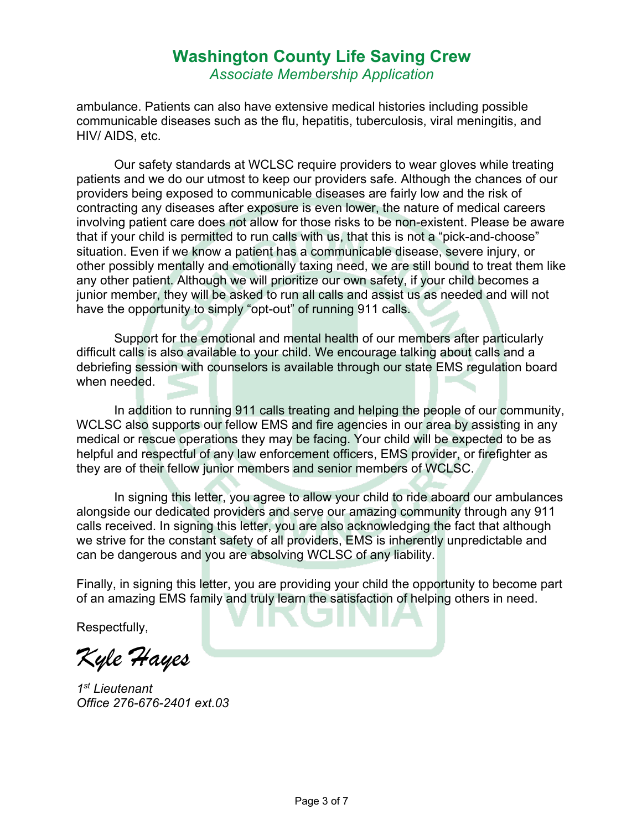### **Washington County Life Saving Crew** *Associate Membership Application*

ambulance. Patients can also have extensive medical histories including possible communicable diseases such as the flu, hepatitis, tuberculosis, viral meningitis, and HIV/ AIDS, etc.

Our safety standards at WCLSC require providers to wear gloves while treating patients and we do our utmost to keep our providers safe. Although the chances of our providers being exposed to communicable diseases are fairly low and the risk of contracting any diseases after exposure is even lower, the nature of medical careers involving patient care does not allow for those risks to be non-existent. Please be aware that if your child is permitted to run calls with us, that this is not a "pick-and-choose" situation. Even if we know a patient has a communicable disease, severe injury, or other possibly mentally and emotionally taxing need, we are still bound to treat them like any other patient. Although we will prioritize our own safety, if your child becomes a junior member, they will be asked to run all calls and assist us as needed and will not have the opportunity to simply "opt-out" of running 911 calls.

Support for the emotional and mental health of our members after particularly difficult calls is also available to your child. We encourage talking about calls and a debriefing session with counselors is available through our state EMS regulation board when needed.

In addition to running 911 calls treating and helping the people of our community, WCLSC also supports our fellow EMS and fire agencies in our area by assisting in any medical or rescue operations they may be facing. Your child will be expected to be as helpful and respectful of any law enforcement officers, EMS provider, or firefighter as they are of their fellow junior members and senior members of WCLSC.

In signing this letter, you agree to allow your child to ride aboard our ambulances alongside our dedicated providers and serve our amazing community through any 911 calls received. In signing this letter, you are also acknowledging the fact that although we strive for the constant safety of all providers, EMS is inherently unpredictable and can be dangerous and you are absolving WCLSC of any liability.

Finally, in signing this letter, you are providing your child the opportunity to become part of an amazing EMS family and truly learn the satisfaction of helping others in need.

Respectfully,

*Kyle Hayes*

*1st Lieutenant Office 276-676-2401 ext.03*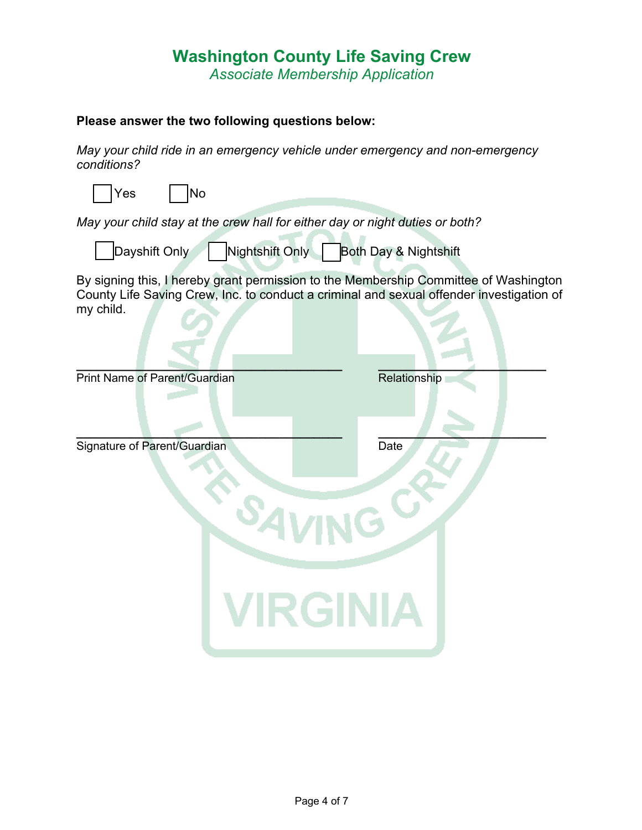*Associate Membership Application*

#### **Please answer the two following questions below:**

*May your child ride in an emergency vehicle under emergency and non-emergency conditions?* 

| May your child stay at the crew hall for either day or night duties or both?                                                                                                     |
|----------------------------------------------------------------------------------------------------------------------------------------------------------------------------------|
| Both Day & Nightshift                                                                                                                                                            |
| By signing this, I hereby grant permission to the Membership Committee of Washington<br>County Life Saving Crew, Inc. to conduct a criminal and sexual offender investigation of |
| Relationship                                                                                                                                                                     |
| Date<br><b>VIRGINIA</b>                                                                                                                                                          |
|                                                                                                                                                                                  |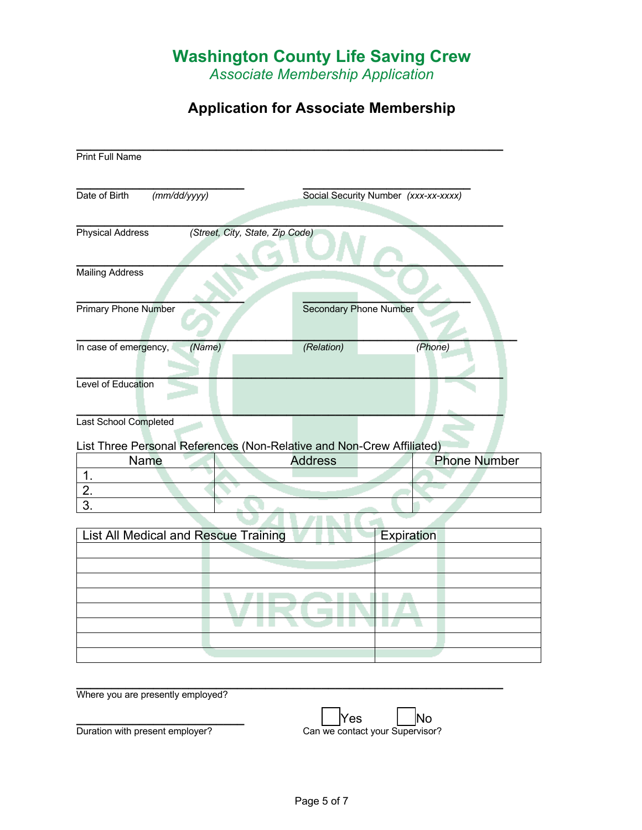*Associate Membership Application*

## **Application for Associate Membership**

| <b>Print Full Name</b>                                                                         |                                 |                                      |                               |                     |
|------------------------------------------------------------------------------------------------|---------------------------------|--------------------------------------|-------------------------------|---------------------|
| Date of Birth<br>(mm/dd/yyyy)                                                                  |                                 | Social Security Number (xxx-xx-xxxx) |                               |                     |
| <b>Physical Address</b>                                                                        | (Street, City, State, Zip Code) |                                      |                               |                     |
| <b>Mailing Address</b>                                                                         |                                 |                                      |                               |                     |
| <b>Primary Phone Number</b>                                                                    |                                 |                                      | <b>Secondary Phone Number</b> |                     |
| In case of emergency,                                                                          | (Name)                          | (Relation)                           |                               | (Phone)             |
| Level of Education                                                                             |                                 |                                      |                               |                     |
| Last School Completed<br>List Three Personal References (Non-Relative and Non-Crew Affiliated) |                                 |                                      |                               |                     |
| Name                                                                                           |                                 | <b>Address</b>                       |                               | <b>Phone Number</b> |
| $\overline{1}$ .                                                                               |                                 |                                      |                               |                     |
| 2.                                                                                             |                                 |                                      |                               |                     |
| 3.                                                                                             |                                 |                                      |                               |                     |
|                                                                                                |                                 |                                      |                               |                     |
| List All Medical and Rescue Training                                                           |                                 |                                      | Expiration                    |                     |
|                                                                                                |                                 |                                      |                               |                     |
|                                                                                                |                                 |                                      |                               |                     |
|                                                                                                |                                 |                                      |                               |                     |
|                                                                                                |                                 |                                      |                               |                     |
|                                                                                                |                                 |                                      |                               |                     |
|                                                                                                |                                 |                                      |                               |                     |
|                                                                                                |                                 |                                      |                               |                     |
|                                                                                                |                                 |                                      |                               |                     |
|                                                                                                |                                 |                                      |                               |                     |
| $Mh$ oro $(0, 1)$ are presently employed?                                                      |                                 |                                      |                               |                     |

Where you are presently employed?

**\_\_\_\_\_\_\_\_\_\_\_\_\_\_\_\_\_\_\_\_\_\_\_\_** Yes No Duration with present employer? Can we contact your Supervisor?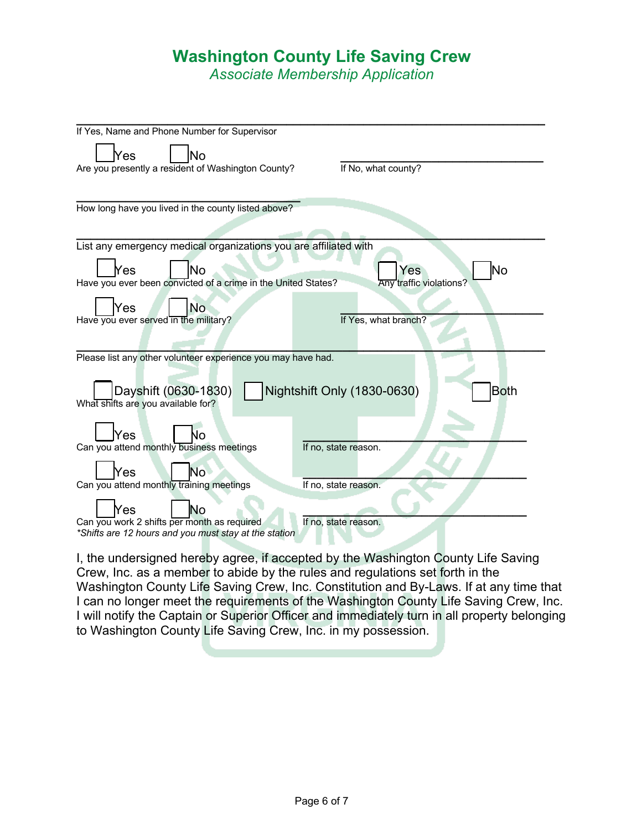*Associate Membership Application*

| If Yes, Name and Phone Number for Supervisor                                                    |  |  |  |
|-------------------------------------------------------------------------------------------------|--|--|--|
| Yes<br>N٥                                                                                       |  |  |  |
| Are you presently a resident of Washington County?<br>If No, what county?                       |  |  |  |
|                                                                                                 |  |  |  |
|                                                                                                 |  |  |  |
| How long have you lived in the county listed above?                                             |  |  |  |
|                                                                                                 |  |  |  |
|                                                                                                 |  |  |  |
| List any emergency medical organizations you are affiliated with                                |  |  |  |
| No<br>Yes<br>Yes<br>No                                                                          |  |  |  |
| <b>Any traffic violations?</b><br>Have you ever been convicted of a crime in the United States? |  |  |  |
|                                                                                                 |  |  |  |
| Yes<br>No                                                                                       |  |  |  |
| Have you ever served in the military?<br>If Yes, what branch?                                   |  |  |  |
|                                                                                                 |  |  |  |
|                                                                                                 |  |  |  |
| Please list any other volunteer experience you may have had.                                    |  |  |  |
|                                                                                                 |  |  |  |
| <b>Both</b>                                                                                     |  |  |  |
| Dayshift (0630-1830)<br>Nightshift Only (1830-0630)<br>What shifts are you available for?       |  |  |  |
|                                                                                                 |  |  |  |
|                                                                                                 |  |  |  |
| Yes<br>ძი                                                                                       |  |  |  |
| Can you attend monthly business meetings<br>If no, state reason.                                |  |  |  |
| Nō.<br>Yes                                                                                      |  |  |  |
| Can you attend monthly training meetings<br>If no, state reason.                                |  |  |  |
|                                                                                                 |  |  |  |
| Yes<br>No                                                                                       |  |  |  |
| Can you work 2 shifts per month as required<br>If no, state reason.                             |  |  |  |
| *Shifts are 12 hours and you must stay at the station                                           |  |  |  |

I, the undersigned hereby agree, if accepted by the Washington County Life Saving Crew, Inc. as a member to abide by the rules and regulations set forth in the Washington County Life Saving Crew, Inc. Constitution and By-Laws. If at any time that I can no longer meet the requirements of the Washington County Life Saving Crew, Inc. I will notify the Captain or Superior Officer and immediately turn in all property belonging to Washington County Life Saving Crew, Inc. in my possession.